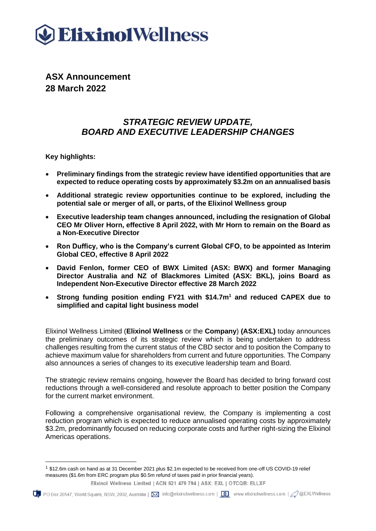

**ASX Announcement 28 March 2022**

# *STRATEGIC REVIEW UPDATE, BOARD AND EXECUTIVE LEADERSHIP CHANGES*

**Key highlights:**

- **Preliminary findings from the strategic review have identified opportunities that are expected to reduce operating costs by approximately \$3.2m on an annualised basis**
- **Additional strategic review opportunities continue to be explored, including the potential sale or merger of all, or parts, of the Elixinol Wellness group**
- **Executive leadership team changes announced, including the resignation of Global CEO Mr Oliver Horn, effective 8 April 2022, with Mr Horn to remain on the Board as a Non-Executive Director**
- **Ron Dufficy, who is the Company's current Global CFO, to be appointed as Interim Global CEO, effective 8 April 2022**
- **David Fenlon, former CEO of BWX Limited (ASX: BWX) and former Managing Director Australia and NZ of Blackmores Limited (ASX: BKL), joins Board as Independent Non-Executive Director effective 28 March 2022**
- **Strong funding position ending FY21 with \$14.7m<sup>1</sup> and reduced CAPEX due to simplified and capital light business model**

Elixinol Wellness Limited (**Elixinol Wellness** or the **Company**) **(ASX:EXL)** today announces the preliminary outcomes of its strategic review which is being undertaken to address challenges resulting from the current status of the CBD sector and to position the Company to achieve maximum value for shareholders from current and future opportunities. The Company also announces a series of changes to its executive leadership team and Board.

The strategic review remains ongoing, however the Board has decided to bring forward cost reductions through a well-considered and resolute approach to better position the Company for the current market environment.

Following a comprehensive organisational review, the Company is implementing a cost reduction program which is expected to reduce annualised operating costs by approximately \$3.2m, predominantly focused on reducing corporate costs and further right-sizing the Elixinol Americas operations.

<sup>1</sup> \$12.6m cash on hand as at 31 December 2021 plus \$2.1m expected to be received from one-off US COVID-19 relief measures (\$1.6m from ERC program plus \$0.5m refund of taxes paid in prior financial years).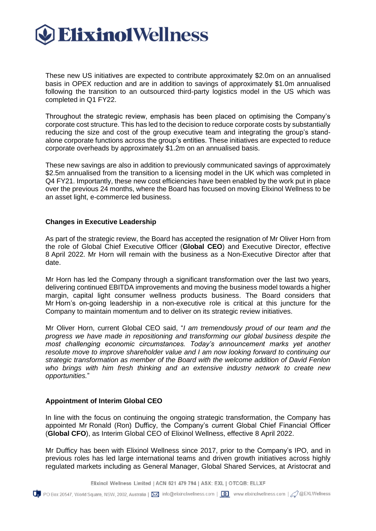

These new US initiatives are expected to contribute approximately \$2.0m on an annualised basis in OPEX reduction and are in addition to savings of approximately \$1.0m annualised following the transition to an outsourced third-party logistics model in the US which was completed in Q1 FY22.

Throughout the strategic review, emphasis has been placed on optimising the Company's corporate cost structure. This has led to the decision to reduce corporate costs by substantially reducing the size and cost of the group executive team and integrating the group's standalone corporate functions across the group's entities. These initiatives are expected to reduce corporate overheads by approximately \$1.2m on an annualised basis.

These new savings are also in addition to previously communicated savings of approximately \$2.5m annualised from the transition to a licensing model in the UK which was completed in Q4 FY21. Importantly, these new cost efficiencies have been enabled by the work put in place over the previous 24 months, where the Board has focused on moving Elixinol Wellness to be an asset light, e-commerce led business.

#### **Changes in Executive Leadership**

As part of the strategic review, the Board has accepted the resignation of Mr Oliver Horn from the role of Global Chief Executive Officer (**Global CEO**) and Executive Director, effective 8 April 2022. Mr Horn will remain with the business as a Non-Executive Director after that date.

Mr Horn has led the Company through a significant transformation over the last two years, delivering continued EBITDA improvements and moving the business model towards a higher margin, capital light consumer wellness products business. The Board considers that Mr Horn's on-going leadership in a non-executive role is critical at this juncture for the Company to maintain momentum and to deliver on its strategic review initiatives.

Mr Oliver Horn, current Global CEO said, "*I am tremendously proud of our team and the progress we have made in repositioning and transforming our global business despite the most challenging economic circumstances. Today's announcement marks yet another resolute move to improve shareholder value and I am now looking forward to continuing our strategic transformation as member of the Board with the welcome addition of David Fenlon who brings with him fresh thinking and an extensive industry network to create new opportunities.*"

#### **Appointment of Interim Global CEO**

In line with the focus on continuing the ongoing strategic transformation, the Company has appointed Mr Ronald (Ron) Dufficy, the Company's current Global Chief Financial Officer (**Global CFO**), as Interim Global CEO of Elixinol Wellness, effective 8 April 2022.

Mr Dufficy has been with Elixinol Wellness since 2017, prior to the Company's IPO, and in previous roles has led large international teams and driven growth initiatives across highly regulated markets including as General Manager, Global Shared Services, at Aristocrat and

Elixinol Wellness Limited | ACN 621 479 794 | ASX: EXL | OTCQB: ELLXF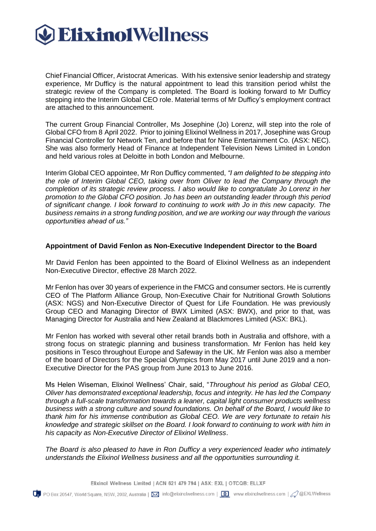

Chief Financial Officer, Aristocrat Americas. With his extensive senior leadership and strategy experience, Mr Dufficy is the natural appointment to lead this transition period whilst the strategic review of the Company is completed. The Board is looking forward to Mr Dufficy stepping into the Interim Global CEO role. Material terms of Mr Dufficy's employment contract are attached to this announcement.

The current Group Financial Controller, Ms Josephine (Jo) Lorenz, will step into the role of Global CFO from 8 April 2022. Prior to joining Elixinol Wellness in 2017, Josephine was Group Financial Controller for Network Ten, and before that for Nine Entertainment Co. (ASX: NEC). She was also formerly Head of Finance at Independent Television News Limited in London and held various roles at Deloitte in both London and Melbourne.

Interim Global CEO appointee, Mr Ron Dufficy commented, *"I am delighted to be stepping into the role of Interim Global CEO, taking over from Oliver to lead the Company through the completion of its strategic review process. I also would like to congratulate Jo Lorenz in her promotion to the Global CFO position. Jo has been an outstanding leader through this period of significant change. I look forward to continuing to work with Jo in this new capacity. The business remains in a strong funding position, and we are working our way through the various opportunities ahead of us."*

#### **Appointment of David Fenlon as Non-Executive Independent Director to the Board**

Mr David Fenlon has been appointed to the Board of Elixinol Wellness as an independent Non-Executive Director, effective 28 March 2022.

Mr Fenlon has over 30 years of experience in the FMCG and consumer sectors. He is currently CEO of The Platform Alliance Group, Non-Executive Chair for Nutritional Growth Solutions (ASX: NGS) and Non-Executive Director of Quest for Life Foundation. He was previously Group CEO and Managing Director of BWX Limited (ASX: BWX), and prior to that, was Managing Director for Australia and New Zealand at Blackmores Limited (ASX: BKL).

Mr Fenlon has worked with several other retail brands both in Australia and offshore, with a strong focus on strategic planning and business transformation. Mr Fenlon has held key positions in Tesco throughout Europe and Safeway in the UK. Mr Fenlon was also a member of the board of Directors for the Special Olympics from May 2017 until June 2019 and a non-Executive Director for the PAS group from June 2013 to June 2016.

Ms Helen Wiseman, Elixinol Wellness' Chair, said, "*Throughout his period as Global CEO, Oliver has demonstrated exceptional leadership, focus and integrity. He has led the Company through a full-scale transformation towards a leaner, capital light consumer products wellness business with a strong culture and sound foundations. On behalf of the Board, I would like to thank him for his immense contribution as Global CEO. We are very fortunate to retain his knowledge and strategic skillset on the Board. I look forward to continuing to work with him in his capacity as Non-Executive Director of Elixinol Wellness*.

*The Board is also pleased to have in Ron Dufficy a very experienced leader who intimately understands the Elixinol Wellness business and all the opportunities surrounding it.*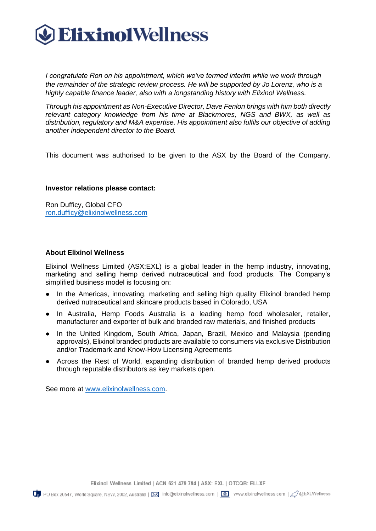

*I congratulate Ron on his appointment, which we've termed interim while we work through the remainder of the strategic review process. He will be supported by Jo Lorenz, who is a highly capable finance leader, also with a longstanding history with Elixinol Wellness.*

*Through his appointment as Non-Executive Director, Dave Fenlon brings with him both directly relevant category knowledge from his time at Blackmores, NGS and BWX, as well as distribution, regulatory and M&A expertise. His appointment also fulfils our objective of adding another independent director to the Board.*

This document was authorised to be given to the ASX by the Board of the Company.

#### **Investor relations please contact:**

Ron Dufficy, Global CFO [ron.dufficy@elixinolwellness.com](mailto:ron.dufficy@elixinolwellness.com)

#### **About Elixinol Wellness**

Elixinol Wellness Limited (ASX:EXL) is a global leader in the hemp industry, innovating, marketing and selling hemp derived nutraceutical and food products. The Company's simplified business model is focusing on:

- In the Americas, innovating, marketing and selling high quality Elixinol branded hemp derived nutraceutical and skincare products based in Colorado, USA
- In Australia, Hemp Foods Australia is a leading hemp food wholesaler, retailer, manufacturer and exporter of bulk and branded raw materials, and finished products
- In the United Kingdom, South Africa, Japan, Brazil, Mexico and Malaysia (pending approvals), Elixinol branded products are available to consumers via exclusive Distribution and/or Trademark and Know-How Licensing Agreements
- Across the Rest of World, expanding distribution of branded hemp derived products through reputable distributors as key markets open.

See more at [www.elixinolwellness.com.](http://www.elixinolwellness.com/)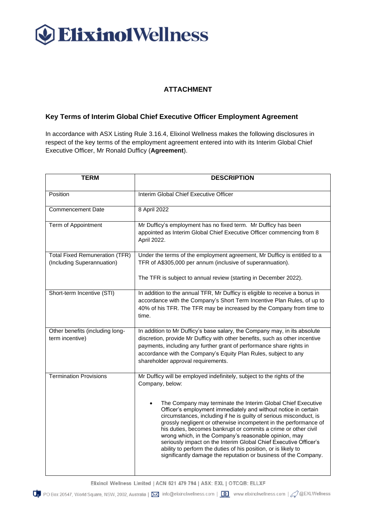# **C** Elixinol Wellness

## **ATTACHMENT**

### **Key Terms of Interim Global Chief Executive Officer Employment Agreement**

In accordance with ASX Listing Rule 3.16.4, Elixinol Wellness makes the following disclosures in respect of the key terms of the employment agreement entered into with its Interim Global Chief Executive Officer, Mr Ronald Dufficy (**Agreement**).

| <b>TERM</b>                                                         | <b>DESCRIPTION</b>                                                                                                                                                                                                                                                                                                                                                                                                                                                                                                                           |
|---------------------------------------------------------------------|----------------------------------------------------------------------------------------------------------------------------------------------------------------------------------------------------------------------------------------------------------------------------------------------------------------------------------------------------------------------------------------------------------------------------------------------------------------------------------------------------------------------------------------------|
| Position                                                            | Interim Global Chief Executive Officer                                                                                                                                                                                                                                                                                                                                                                                                                                                                                                       |
| <b>Commencement Date</b>                                            | 8 April 2022                                                                                                                                                                                                                                                                                                                                                                                                                                                                                                                                 |
| Term of Appointment                                                 | Mr Dufficy's employment has no fixed term. Mr Dufficy has been<br>appointed as Interim Global Chief Executive Officer commencing from 8<br>April 2022.                                                                                                                                                                                                                                                                                                                                                                                       |
| <b>Total Fixed Remuneration (TFR)</b><br>(Including Superannuation) | Under the terms of the employment agreement, Mr Dufficy is entitled to a<br>TFR of A\$305,000 per annum (inclusive of superannuation).<br>The TFR is subject to annual review (starting in December 2022).                                                                                                                                                                                                                                                                                                                                   |
|                                                                     |                                                                                                                                                                                                                                                                                                                                                                                                                                                                                                                                              |
| Short-term Incentive (STI)                                          | In addition to the annual TFR, Mr Dufficy is eligible to receive a bonus in<br>accordance with the Company's Short Term Incentive Plan Rules, of up to<br>40% of his TFR. The TFR may be increased by the Company from time to<br>time.                                                                                                                                                                                                                                                                                                      |
| Other benefits (including long-<br>term incentive)                  | In addition to Mr Dufficy's base salary, the Company may, in its absolute<br>discretion, provide Mr Dufficy with other benefits, such as other incentive<br>payments, including any further grant of performance share rights in<br>accordance with the Company's Equity Plan Rules, subject to any<br>shareholder approval requirements.                                                                                                                                                                                                    |
| <b>Termination Provisions</b>                                       | Mr Dufficy will be employed indefinitely, subject to the rights of the<br>Company, below:<br>The Company may terminate the Interim Global Chief Executive                                                                                                                                                                                                                                                                                                                                                                                    |
|                                                                     | Officer's employment immediately and without notice in certain<br>circumstances, including if he is guilty of serious misconduct, is<br>grossly negligent or otherwise incompetent in the performance of<br>his duties, becomes bankrupt or commits a crime or other civil<br>wrong which, in the Company's reasonable opinion, may<br>seriously impact on the Interim Global Chief Executive Officer's<br>ability to perform the duties of his position, or is likely to<br>significantly damage the reputation or business of the Company. |